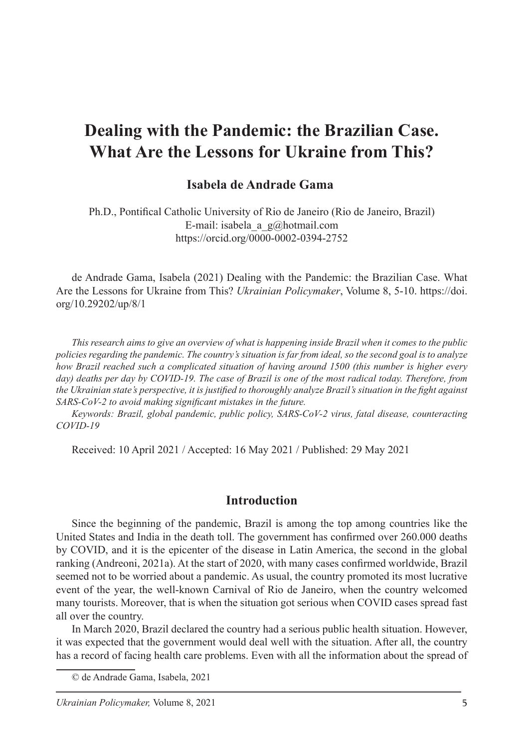# **Dealing with the Pandemic: the Brazilian Case. What Are the Lessons for Ukraine from This?**

#### **Isabela de Andrade Gama**<sup>1</sup>

Ph.D., Pontifical Catholic University of Rio de Janeiro (Rio de Janeiro, Brazil) E-mail: isabela a  $g(\vec{a})$ hotmail.com https://orcid.org/0000-0002-0394-2752

de Andrade Gama, Isabela (2021) Dealing with the Pandemic: the Brazilian Case. What Are the Lessons for Ukraine from This? *Ukrainian Policymaker*, Volume 8, 5-10. https://doi. org/10.29202/up/8/1

*This research aims to give an overview of what is happening inside Brazil when it comes to the public policies regarding the pandemic. The country's situation is far from ideal, so the second goal is to analyze how Brazil reached such a complicated situation of having around 1500 (this number is higher every day) deaths per day by COVID-19. The case of Brazil is one of the most radical today. Therefore, from the Ukrainian state's perspective, it is justified to thoroughly analyze Brazil's situation in the fight against SARS-CoV-2 to avoid making significant mistakes in the future.*

*Keywords: Brazil, global pandemic, public policy, SARS-CoV-2 virus, fatal disease, counteracting COVID-19*

Received: 10 April 2021 / Accepted: 16 May 2021 / Published: 29 May 2021

#### **Introduction**

Since the beginning of the pandemic, Brazil is among the top among countries like the United States and India in the death toll. The government has confirmed over 260.000 deaths by COVID, and it is the epicenter of the disease in Latin America, the second in the global ranking (Andreoni, 2021a). At the start of 2020, with many cases confirmed worldwide, Brazil seemed not to be worried about a pandemic. As usual, the country promoted its most lucrative event of the year, the well-known Carnival of Rio de Janeiro, when the country welcomed many tourists. Moreover, that is when the situation got serious when COVID cases spread fast all over the country.

In March 2020, Brazil declared the country had a serious public health situation. However, it was expected that the government would deal well with the situation. After all, the country has a record of facing health care problems. Even with all the information about the spread of

<sup>©</sup> de Andrade Gama, Isabela, 2021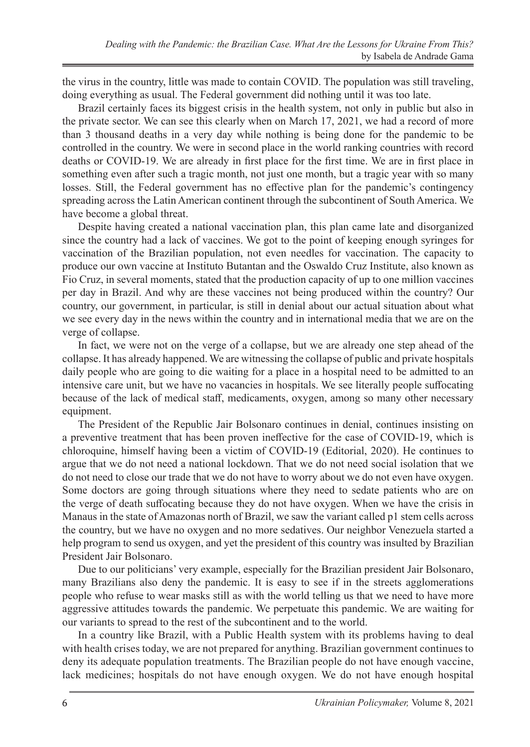the virus in the country, little was made to contain COVID. The population was still traveling, doing everything as usual. The Federal government did nothing until it was too late.

Brazil certainly faces its biggest crisis in the health system, not only in public but also in the private sector. We can see this clearly when on March 17, 2021, we had a record of more than 3 thousand deaths in a very day while nothing is being done for the pandemic to be controlled in the country. We were in second place in the world ranking countries with record deaths or COVID-19. We are already in first place for the first time. We are in first place in something even after such a tragic month, not just one month, but a tragic year with so many losses. Still, the Federal government has no effective plan for the pandemic's contingency spreading across the Latin American continent through the subcontinent of South America. We have become a global threat.

Despite having created a national vaccination plan, this plan came late and disorganized since the country had a lack of vaccines. We got to the point of keeping enough syringes for vaccination of the Brazilian population, not even needles for vaccination. The capacity to produce our own vaccine at Instituto Butantan and the Oswaldo Cruz Institute, also known as Fio Cruz, in several moments, stated that the production capacity of up to one million vaccines per day in Brazil. And why are these vaccines not being produced within the country? Our country, our government, in particular, is still in denial about our actual situation about what we see every day in the news within the country and in international media that we are on the verge of collapse.

In fact, we were not on the verge of a collapse, but we are already one step ahead of the collapse. It has already happened. We are witnessing the collapse of public and private hospitals daily people who are going to die waiting for a place in a hospital need to be admitted to an intensive care unit, but we have no vacancies in hospitals. We see literally people suffocating because of the lack of medical staff, medicaments, oxygen, among so many other necessary equipment.

The President of the Republic Jair Bolsonaro continues in denial, continues insisting on a preventive treatment that has been proven ineffective for the case of COVID-19, which is chloroquine, himself having been a victim of COVID-19 (Editorial, 2020). He continues to argue that we do not need a national lockdown. That we do not need social isolation that we do not need to close our trade that we do not have to worry about we do not even have oxygen. Some doctors are going through situations where they need to sedate patients who are on the verge of death suffocating because they do not have oxygen. When we have the crisis in Manaus in the state of Amazonas north of Brazil, we saw the variant called p1 stem cells across the country, but we have no oxygen and no more sedatives. Our neighbor Venezuela started a help program to send us oxygen, and yet the president of this country was insulted by Brazilian President Jair Bolsonaro.

Due to our politicians' very example, especially for the Brazilian president Jair Bolsonaro, many Brazilians also deny the pandemic. It is easy to see if in the streets agglomerations people who refuse to wear masks still as with the world telling us that we need to have more aggressive attitudes towards the pandemic. We perpetuate this pandemic. We are waiting for our variants to spread to the rest of the subcontinent and to the world.

In a country like Brazil, with a Public Health system with its problems having to deal with health crises today, we are not prepared for anything. Brazilian government continues to deny its adequate population treatments. The Brazilian people do not have enough vaccine, lack medicines; hospitals do not have enough oxygen. We do not have enough hospital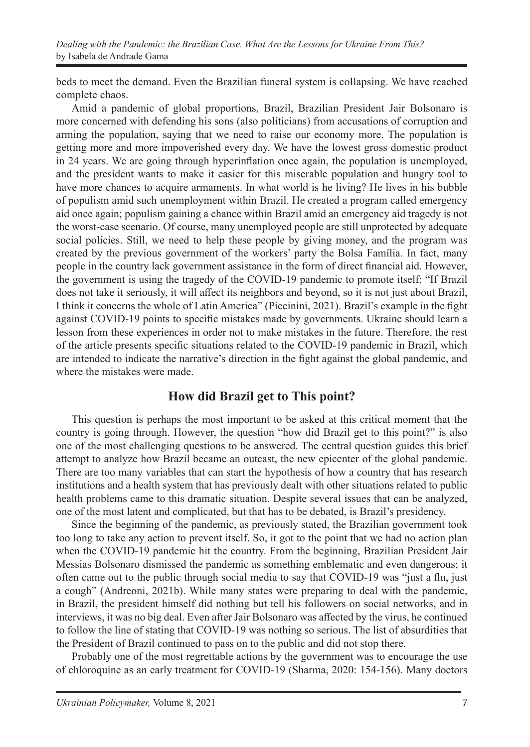beds to meet the demand. Even the Brazilian funeral system is collapsing. We have reached complete chaos.

Amid a pandemic of global proportions, Brazil, Brazilian President Jair Bolsonaro is more concerned with defending his sons (also politicians) from accusations of corruption and arming the population, saying that we need to raise our economy more. The population is getting more and more impoverished every day. We have the lowest gross domestic product in 24 years. We are going through hyperinflation once again, the population is unemployed, and the president wants to make it easier for this miserable population and hungry tool to have more chances to acquire armaments. In what world is he living? He lives in his bubble of populism amid such unemployment within Brazil. He created a program called emergency aid once again; populism gaining a chance within Brazil amid an emergency aid tragedy is not the worst-case scenario. Of course, many unemployed people are still unprotected by adequate social policies. Still, we need to help these people by giving money, and the program was created by the previous government of the workers' party the Bolsa Família. In fact, many people in the country lack government assistance in the form of direct financial aid. However, the government is using the tragedy of the COVID-19 pandemic to promote itself: "If Brazil does not take it seriously, it will affect its neighbors and beyond, so it is not just about Brazil, I think it concerns the whole of Latin America" (Piccinini, 2021). Brazil's example in the fight against COVID-19 points to specific mistakes made by governments. Ukraine should learn a lesson from these experiences in order not to make mistakes in the future. Therefore, the rest of the article presents specific situations related to the COVID-19 pandemic in Brazil, which are intended to indicate the narrative's direction in the fight against the global pandemic, and where the mistakes were made.

### **How did Brazil get to This point?**

This question is perhaps the most important to be asked at this critical moment that the country is going through. However, the question "how did Brazil get to this point?" is also one of the most challenging questions to be answered. The central question guides this brief attempt to analyze how Brazil became an outcast, the new epicenter of the global pandemic. There are too many variables that can start the hypothesis of how a country that has research institutions and a health system that has previously dealt with other situations related to public health problems came to this dramatic situation. Despite several issues that can be analyzed, one of the most latent and complicated, but that has to be debated, is Brazil's presidency.

Since the beginning of the pandemic, as previously stated, the Brazilian government took too long to take any action to prevent itself. So, it got to the point that we had no action plan when the COVID-19 pandemic hit the country. From the beginning, Brazilian President Jair Messias Bolsonaro dismissed the pandemic as something emblematic and even dangerous; it often came out to the public through social media to say that COVID-19 was "just a flu, just a cough" (Andreoni, 2021b). While many states were preparing to deal with the pandemic, in Brazil, the president himself did nothing but tell his followers on social networks, and in interviews, it was no big deal. Even after Jair Bolsonaro was affected by the virus, he continued to follow the line of stating that COVID-19 was nothing so serious. The list of absurdities that the President of Brazil continued to pass on to the public and did not stop there.

Probably one of the most regrettable actions by the government was to encourage the use of chloroquine as an early treatment for COVID-19 (Sharma, 2020: 154-156). Many doctors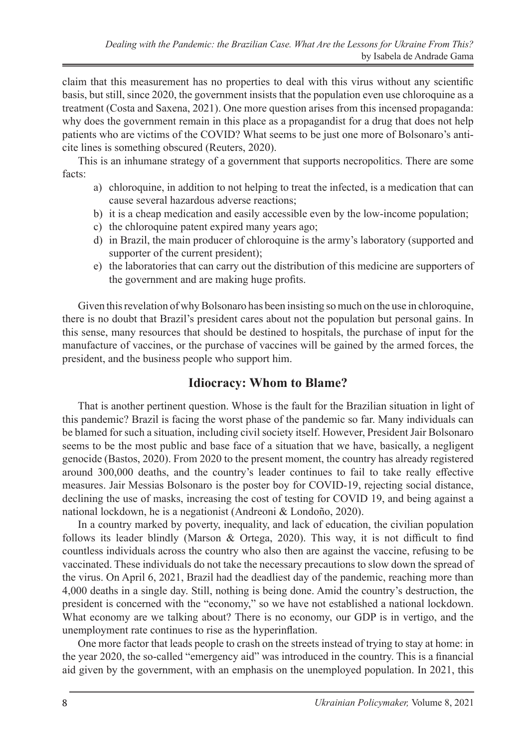claim that this measurement has no properties to deal with this virus without any scientific basis, but still, since 2020, the government insists that the population even use chloroquine as a treatment (Costa and Saxena, 2021). One more question arises from this incensed propaganda: why does the government remain in this place as a propagandist for a drug that does not help patients who are victims of the COVID? What seems to be just one more of Bolsonaro's anticite lines is something obscured (Reuters, 2020).

This is an inhumane strategy of a government that supports necropolitics. There are some facts:

- a) chloroquine, in addition to not helping to treat the infected, is a medication that can cause several hazardous adverse reactions;
- b) it is a cheap medication and easily accessible even by the low-income population;
- c) the chloroquine patent expired many years ago;
- d) in Brazil, the main producer of chloroquine is the army's laboratory (supported and supporter of the current president);
- e) the laboratories that can carry out the distribution of this medicine are supporters of the government and are making huge profits.

Given this revelation of why Bolsonaro has been insisting so much on the use in chloroquine, there is no doubt that Brazil's president cares about not the population but personal gains. In this sense, many resources that should be destined to hospitals, the purchase of input for the manufacture of vaccines, or the purchase of vaccines will be gained by the armed forces, the president, and the business people who support him.

### **Idiocracy: Whom to Blame?**

That is another pertinent question. Whose is the fault for the Brazilian situation in light of this pandemic? Brazil is facing the worst phase of the pandemic so far. Many individuals can be blamed for such a situation, including civil society itself. However, President Jair Bolsonaro seems to be the most public and base face of a situation that we have, basically, a negligent genocide (Bastos, 2020). From 2020 to the present moment, the country has already registered around 300,000 deaths, and the country's leader continues to fail to take really effective measures. Jair Messias Bolsonaro is the poster boy for COVID-19, rejecting social distance, declining the use of masks, increasing the cost of testing for COVID 19, and being against a national lockdown, he is a negationist (Andreoni & Londoño, 2020).

In a country marked by poverty, inequality, and lack of education, the civilian population follows its leader blindly (Marson & Ortega, 2020). This way, it is not difficult to find countless individuals across the country who also then are against the vaccine, refusing to be vaccinated. These individuals do not take the necessary precautions to slow down the spread of the virus. On April 6, 2021, Brazil had the deadliest day of the pandemic, reaching more than 4,000 deaths in a single day. Still, nothing is being done. Amid the country's destruction, the president is concerned with the "economy," so we have not established a national lockdown. What economy are we talking about? There is no economy, our GDP is in vertigo, and the unemployment rate continues to rise as the hyperinflation.

One more factor that leads people to crash on the streets instead of trying to stay at home: in the year 2020, the so-called "emergency aid" was introduced in the country. This is a financial aid given by the government, with an emphasis on the unemployed population. In 2021, this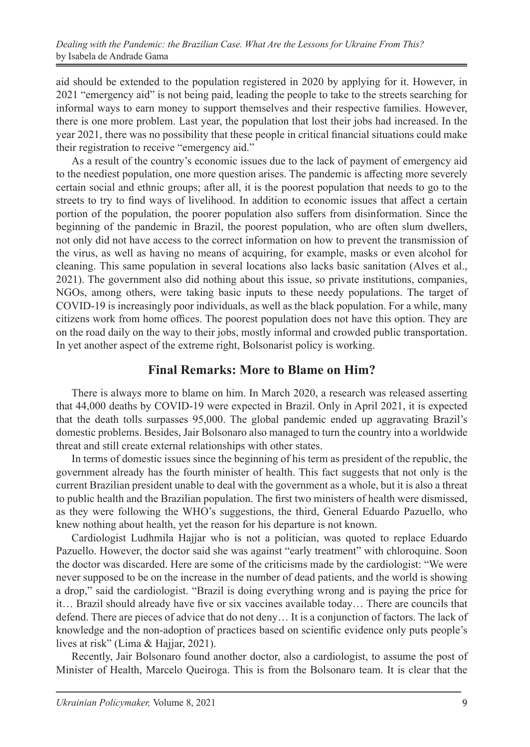aid should be extended to the population registered in 2020 by applying for it. However, in 2021 "emergency aid" is not being paid, leading the people to take to the streets searching for informal ways to earn money to support themselves and their respective families. However, there is one more problem. Last year, the population that lost their jobs had increased. In the year 2021, there was no possibility that these people in critical financial situations could make their registration to receive "emergency aid."

As a result of the country's economic issues due to the lack of payment of emergency aid to the neediest population, one more question arises. The pandemic is affecting more severely certain social and ethnic groups; after all, it is the poorest population that needs to go to the streets to try to find ways of livelihood. In addition to economic issues that affect a certain portion of the population, the poorer population also suffers from disinformation. Since the beginning of the pandemic in Brazil, the poorest population, who are often slum dwellers, not only did not have access to the correct information on how to prevent the transmission of the virus, as well as having no means of acquiring, for example, masks or even alcohol for cleaning. This same population in several locations also lacks basic sanitation (Alves et al., 2021). The government also did nothing about this issue, so private institutions, companies, NGOs, among others, were taking basic inputs to these needy populations. The target of COVID-19 is increasingly poor individuals, as well as the black population. For a while, many citizens work from home offices. The poorest population does not have this option. They are on the road daily on the way to their jobs, mostly informal and crowded public transportation. In yet another aspect of the extreme right, Bolsonarist policy is working.

### **Final Remarks: More to Blame on Him?**

There is always more to blame on him. In March 2020, a research was released asserting that 44,000 deaths by COVID-19 were expected in Brazil. Only in April 2021, it is expected that the death tolls surpasses 95,000. The global pandemic ended up aggravating Brazil's domestic problems. Besides, Jair Bolsonaro also managed to turn the country into a worldwide threat and still create external relationships with other states.

In terms of domestic issues since the beginning of his term as president of the republic, the government already has the fourth minister of health. This fact suggests that not only is the current Brazilian president unable to deal with the government as a whole, but it is also a threat to public health and the Brazilian population. The first two ministers of health were dismissed, as they were following the WHO's suggestions, the third, General Eduardo Pazuello, who knew nothing about health, yet the reason for his departure is not known.

Cardiologist Ludhmila Hajjar who is not a politician, was quoted to replace Eduardo Pazuello. However, the doctor said she was against "early treatment" with chloroquine. Soon the doctor was discarded. Here are some of the criticisms made by the cardiologist: "We were never supposed to be on the increase in the number of dead patients, and the world is showing a drop," said the cardiologist. "Brazil is doing everything wrong and is paying the price for it… Brazil should already have five or six vaccines available today… There are councils that defend. There are pieces of advice that do not deny… It is a conjunction of factors. The lack of knowledge and the non-adoption of practices based on scientific evidence only puts people's lives at risk" (Lima & Hajjar, 2021).

Recently, Jair Bolsonaro found another doctor, also a cardiologist, to assume the post of Minister of Health, Marcelo Queiroga. This is from the Bolsonaro team. It is clear that the